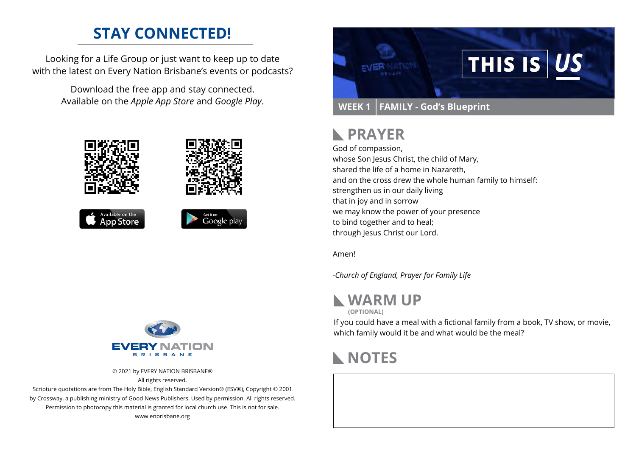## **STAY CONNECTED!**

Looking for a Life Group or just want to keep up to date with the latest on Every Nation Brisbane's events or podcasts?

> Download the free app and stay connected. Available on the *Apple App Store* and *Google Play*.











© 2021 by EVERY NATION BRISBANE® All rights reserved.

Scripture quotations are from The Holy Bible, English Standard Version® (ESV®), Copyright © 2001 by Crossway, a publishing ministry of Good News Publishers. Used by permission. All rights reserved. Permission to photocopy this material is granted for local church use. This is not for sale. www.enbrisbane.org



# **PRAYER**

God of compassion,

whose Son Jesus Christ, the child of Mary, shared the life of a home in Nazareth, and on the cross drew the whole human family to himself: strengthen us in our daily living that in joy and in sorrow we may know the power of your presence to bind together and to heal; through Jesus Christ our Lord.

Amen!

*-Church of England, Prayer for Family Life*



**(OPTIONAL)**

If you could have a meal with a fictional family from a book, TV show, or movie, which family would it be and what would be the meal?

## **NOTES**